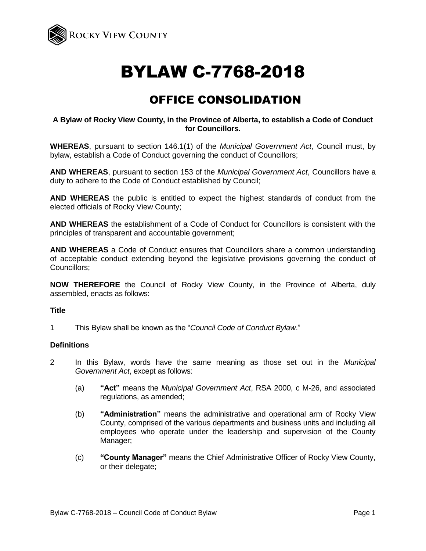

# BYLAW C-7768-2018

# OFFICE CONSOLIDATION

# **A Bylaw of Rocky View County, in the Province of Alberta, to establish a Code of Conduct for Councillors.**

**WHEREAS**, pursuant to section 146.1(1) of the *Municipal Government Act*, Council must, by bylaw, establish a Code of Conduct governing the conduct of Councillors;

**AND WHEREAS**, pursuant to section 153 of the *Municipal Government Act*, Councillors have a duty to adhere to the Code of Conduct established by Council;

**AND WHEREAS** the public is entitled to expect the highest standards of conduct from the elected officials of Rocky View County;

**AND WHEREAS** the establishment of a Code of Conduct for Councillors is consistent with the principles of transparent and accountable government;

**AND WHEREAS** a Code of Conduct ensures that Councillors share a common understanding of acceptable conduct extending beyond the legislative provisions governing the conduct of Councillors;

**NOW THEREFORE** the Council of Rocky View County, in the Province of Alberta, duly assembled, enacts as follows:

# **Title**

1 This Bylaw shall be known as the "*Council Code of Conduct Bylaw*."

#### **Definitions**

- 2 In this Bylaw, words have the same meaning as those set out in the *Municipal Government Act*, except as follows:
	- (a) **"Act"** means the *Municipal Government Act*, RSA 2000, c M-26, and associated regulations, as amended;
	- (b) **"Administration"** means the administrative and operational arm of Rocky View County, comprised of the various departments and business units and including all employees who operate under the leadership and supervision of the County Manager;
	- (c) **"County Manager"** means the Chief Administrative Officer of Rocky View County, or their delegate;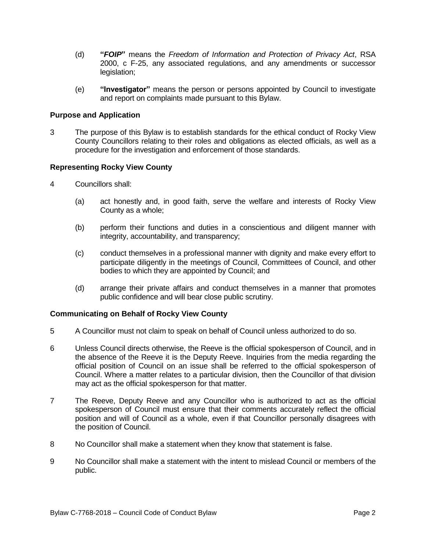- (d) **"***FOIP***"** means the *Freedom of Information and Protection of Privacy Act*, RSA 2000, c F-25, any associated regulations, and any amendments or successor legislation;
- (e) **"Investigator"** means the person or persons appointed by Council to investigate and report on complaints made pursuant to this Bylaw.

# **Purpose and Application**

3 The purpose of this Bylaw is to establish standards for the ethical conduct of Rocky View County Councillors relating to their roles and obligations as elected officials, as well as a procedure for the investigation and enforcement of those standards.

# **Representing Rocky View County**

- 4 Councillors shall:
	- (a) act honestly and, in good faith, serve the welfare and interests of Rocky View County as a whole;
	- (b) perform their functions and duties in a conscientious and diligent manner with integrity, accountability, and transparency;
	- (c) conduct themselves in a professional manner with dignity and make every effort to participate diligently in the meetings of Council, Committees of Council, and other bodies to which they are appointed by Council; and
	- (d) arrange their private affairs and conduct themselves in a manner that promotes public confidence and will bear close public scrutiny.

# **Communicating on Behalf of Rocky View County**

- 5 A Councillor must not claim to speak on behalf of Council unless authorized to do so.
- 6 Unless Council directs otherwise, the Reeve is the official spokesperson of Council, and in the absence of the Reeve it is the Deputy Reeve. Inquiries from the media regarding the official position of Council on an issue shall be referred to the official spokesperson of Council. Where a matter relates to a particular division, then the Councillor of that division may act as the official spokesperson for that matter.
- 7 The Reeve, Deputy Reeve and any Councillor who is authorized to act as the official spokesperson of Council must ensure that their comments accurately reflect the official position and will of Council as a whole, even if that Councillor personally disagrees with the position of Council.
- 8 No Councillor shall make a statement when they know that statement is false.
- 9 No Councillor shall make a statement with the intent to mislead Council or members of the public.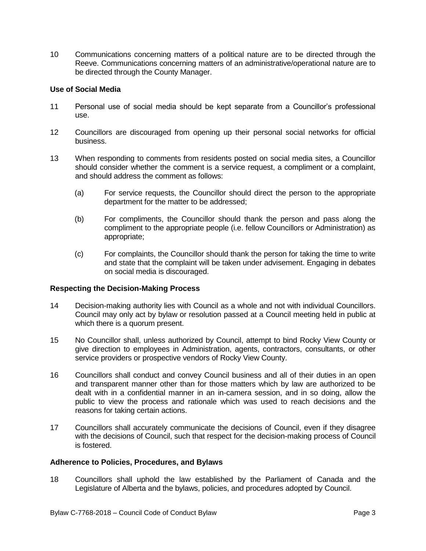10 Communications concerning matters of a political nature are to be directed through the Reeve. Communications concerning matters of an administrative/operational nature are to be directed through the County Manager.

# **Use of Social Media**

- 11 Personal use of social media should be kept separate from a Councillor's professional use.
- 12 Councillors are discouraged from opening up their personal social networks for official business.
- 13 When responding to comments from residents posted on social media sites, a Councillor should consider whether the comment is a service request, a compliment or a complaint, and should address the comment as follows:
	- (a) For service requests, the Councillor should direct the person to the appropriate department for the matter to be addressed;
	- (b) For compliments, the Councillor should thank the person and pass along the compliment to the appropriate people (i.e. fellow Councillors or Administration) as appropriate;
	- (c) For complaints, the Councillor should thank the person for taking the time to write and state that the complaint will be taken under advisement. Engaging in debates on social media is discouraged.

# **Respecting the Decision-Making Process**

- 14 Decision-making authority lies with Council as a whole and not with individual Councillors. Council may only act by bylaw or resolution passed at a Council meeting held in public at which there is a quorum present.
- 15 No Councillor shall, unless authorized by Council, attempt to bind Rocky View County or give direction to employees in Administration, agents, contractors, consultants, or other service providers or prospective vendors of Rocky View County.
- 16 Councillors shall conduct and convey Council business and all of their duties in an open and transparent manner other than for those matters which by law are authorized to be dealt with in a confidential manner in an in-camera session, and in so doing, allow the public to view the process and rationale which was used to reach decisions and the reasons for taking certain actions.
- 17 Councillors shall accurately communicate the decisions of Council, even if they disagree with the decisions of Council, such that respect for the decision-making process of Council is fostered.

#### **Adherence to Policies, Procedures, and Bylaws**

18 Councillors shall uphold the law established by the Parliament of Canada and the Legislature of Alberta and the bylaws, policies, and procedures adopted by Council.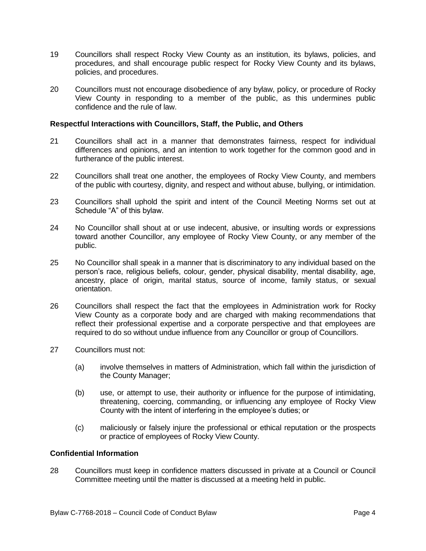- 19 Councillors shall respect Rocky View County as an institution, its bylaws, policies, and procedures, and shall encourage public respect for Rocky View County and its bylaws, policies, and procedures.
- 20 Councillors must not encourage disobedience of any bylaw, policy, or procedure of Rocky View County in responding to a member of the public, as this undermines public confidence and the rule of law.

#### **Respectful Interactions with Councillors, Staff, the Public, and Others**

- 21 Councillors shall act in a manner that demonstrates fairness, respect for individual differences and opinions, and an intention to work together for the common good and in furtherance of the public interest.
- 22 Councillors shall treat one another, the employees of Rocky View County, and members of the public with courtesy, dignity, and respect and without abuse, bullying, or intimidation.
- 23 Councillors shall uphold the spirit and intent of the Council Meeting Norms set out at Schedule "A" of this bylaw.
- 24 No Councillor shall shout at or use indecent, abusive, or insulting words or expressions toward another Councillor, any employee of Rocky View County, or any member of the public.
- 25 No Councillor shall speak in a manner that is discriminatory to any individual based on the person's race, religious beliefs, colour, gender, physical disability, mental disability, age, ancestry, place of origin, marital status, source of income, family status, or sexual orientation.
- 26 Councillors shall respect the fact that the employees in Administration work for Rocky View County as a corporate body and are charged with making recommendations that reflect their professional expertise and a corporate perspective and that employees are required to do so without undue influence from any Councillor or group of Councillors.
- 27 Councillors must not:
	- (a) involve themselves in matters of Administration, which fall within the jurisdiction of the County Manager;
	- (b) use, or attempt to use, their authority or influence for the purpose of intimidating, threatening, coercing, commanding, or influencing any employee of Rocky View County with the intent of interfering in the employee's duties; or
	- (c) maliciously or falsely injure the professional or ethical reputation or the prospects or practice of employees of Rocky View County.

# **Confidential Information**

28 Councillors must keep in confidence matters discussed in private at a Council or Council Committee meeting until the matter is discussed at a meeting held in public.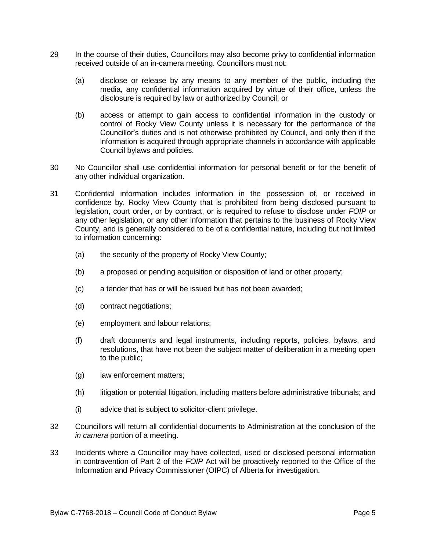- 29 In the course of their duties, Councillors may also become privy to confidential information received outside of an in-camera meeting. Councillors must not:
	- (a) disclose or release by any means to any member of the public, including the media, any confidential information acquired by virtue of their office, unless the disclosure is required by law or authorized by Council; or
	- (b) access or attempt to gain access to confidential information in the custody or control of Rocky View County unless it is necessary for the performance of the Councillor's duties and is not otherwise prohibited by Council, and only then if the information is acquired through appropriate channels in accordance with applicable Council bylaws and policies.
- 30 No Councillor shall use confidential information for personal benefit or for the benefit of any other individual organization.
- 31 Confidential information includes information in the possession of, or received in confidence by, Rocky View County that is prohibited from being disclosed pursuant to legislation, court order, or by contract, or is required to refuse to disclose under *FOIP* or any other legislation, or any other information that pertains to the business of Rocky View County, and is generally considered to be of a confidential nature, including but not limited to information concerning:
	- (a) the security of the property of Rocky View County;
	- (b) a proposed or pending acquisition or disposition of land or other property;
	- (c) a tender that has or will be issued but has not been awarded;
	- (d) contract negotiations;
	- (e) employment and labour relations;
	- (f) draft documents and legal instruments, including reports, policies, bylaws, and resolutions, that have not been the subject matter of deliberation in a meeting open to the public;
	- (g) law enforcement matters;
	- (h) litigation or potential litigation, including matters before administrative tribunals; and
	- (i) advice that is subject to solicitor-client privilege.
- 32 Councillors will return all confidential documents to Administration at the conclusion of the *in camera* portion of a meeting.
- 33 Incidents where a Councillor may have collected, used or disclosed personal information in contravention of Part 2 of the *FOIP* Act will be proactively reported to the Office of the Information and Privacy Commissioner (OIPC) of Alberta for investigation.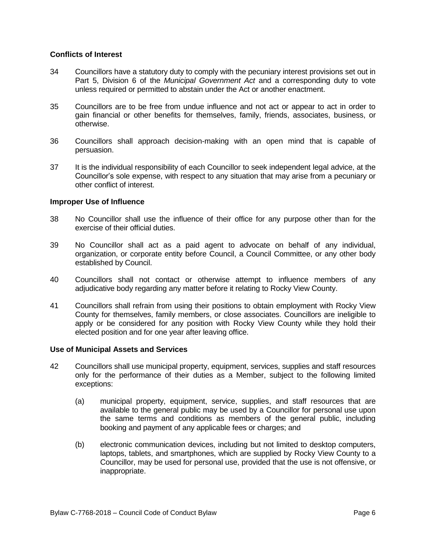# **Conflicts of Interest**

- 34 Councillors have a statutory duty to comply with the pecuniary interest provisions set out in Part 5, Division 6 of the *Municipal Government Act* and a corresponding duty to vote unless required or permitted to abstain under the Act or another enactment.
- 35 Councillors are to be free from undue influence and not act or appear to act in order to gain financial or other benefits for themselves, family, friends, associates, business, or otherwise.
- 36 Councillors shall approach decision-making with an open mind that is capable of persuasion.
- 37 It is the individual responsibility of each Councillor to seek independent legal advice, at the Councillor's sole expense, with respect to any situation that may arise from a pecuniary or other conflict of interest.

# **Improper Use of Influence**

- 38 No Councillor shall use the influence of their office for any purpose other than for the exercise of their official duties.
- 39 No Councillor shall act as a paid agent to advocate on behalf of any individual, organization, or corporate entity before Council, a Council Committee, or any other body established by Council.
- 40 Councillors shall not contact or otherwise attempt to influence members of any adjudicative body regarding any matter before it relating to Rocky View County.
- 41 Councillors shall refrain from using their positions to obtain employment with Rocky View County for themselves, family members, or close associates. Councillors are ineligible to apply or be considered for any position with Rocky View County while they hold their elected position and for one year after leaving office.

# **Use of Municipal Assets and Services**

- 42 Councillors shall use municipal property, equipment, services, supplies and staff resources only for the performance of their duties as a Member, subject to the following limited exceptions:
	- (a) municipal property, equipment, service, supplies, and staff resources that are available to the general public may be used by a Councillor for personal use upon the same terms and conditions as members of the general public, including booking and payment of any applicable fees or charges; and
	- (b) electronic communication devices, including but not limited to desktop computers, laptops, tablets, and smartphones, which are supplied by Rocky View County to a Councillor, may be used for personal use, provided that the use is not offensive, or inappropriate.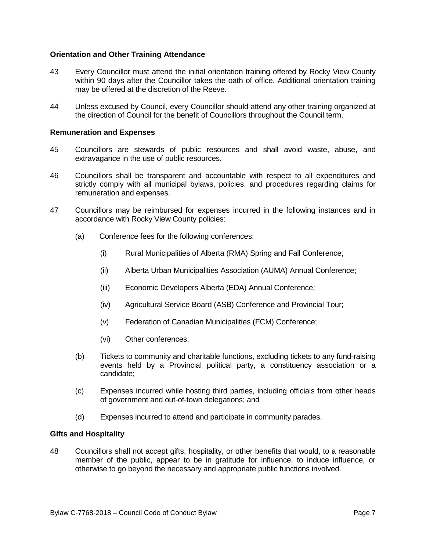# **Orientation and Other Training Attendance**

- 43 Every Councillor must attend the initial orientation training offered by Rocky View County within 90 days after the Councillor takes the oath of office. Additional orientation training may be offered at the discretion of the Reeve.
- 44 Unless excused by Council, every Councillor should attend any other training organized at the direction of Council for the benefit of Councillors throughout the Council term.

# **Remuneration and Expenses**

- 45 Councillors are stewards of public resources and shall avoid waste, abuse, and extravagance in the use of public resources.
- 46 Councillors shall be transparent and accountable with respect to all expenditures and strictly comply with all municipal bylaws, policies, and procedures regarding claims for remuneration and expenses.
- 47 Councillors may be reimbursed for expenses incurred in the following instances and in accordance with Rocky View County policies:
	- (a) Conference fees for the following conferences:
		- (i) Rural Municipalities of Alberta (RMA) Spring and Fall Conference;
		- (ii) Alberta Urban Municipalities Association (AUMA) Annual Conference;
		- (iii) Economic Developers Alberta (EDA) Annual Conference;
		- (iv) Agricultural Service Board (ASB) Conference and Provincial Tour;
		- (v) Federation of Canadian Municipalities (FCM) Conference;
		- (vi) Other conferences;
	- (b) Tickets to community and charitable functions, excluding tickets to any fund-raising events held by a Provincial political party, a constituency association or a candidate;
	- (c) Expenses incurred while hosting third parties, including officials from other heads of government and out-of-town delegations; and
	- (d) Expenses incurred to attend and participate in community parades.

# **Gifts and Hospitality**

48 Councillors shall not accept gifts, hospitality, or other benefits that would, to a reasonable member of the public, appear to be in gratitude for influence, to induce influence, or otherwise to go beyond the necessary and appropriate public functions involved.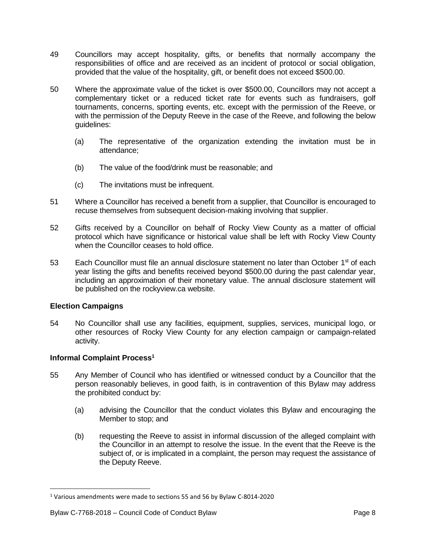- 49 Councillors may accept hospitality, gifts, or benefits that normally accompany the responsibilities of office and are received as an incident of protocol or social obligation, provided that the value of the hospitality, gift, or benefit does not exceed \$500.00.
- 50 Where the approximate value of the ticket is over \$500.00, Councillors may not accept a complementary ticket or a reduced ticket rate for events such as fundraisers, golf tournaments, concerns, sporting events, etc. except with the permission of the Reeve, or with the permission of the Deputy Reeve in the case of the Reeve, and following the below guidelines:
	- (a) The representative of the organization extending the invitation must be in attendance;
	- (b) The value of the food/drink must be reasonable; and
	- (c) The invitations must be infrequent.
- 51 Where a Councillor has received a benefit from a supplier, that Councillor is encouraged to recuse themselves from subsequent decision-making involving that supplier.
- 52 Gifts received by a Councillor on behalf of Rocky View County as a matter of official protocol which have significance or historical value shall be left with Rocky View County when the Councillor ceases to hold office.
- 53 Each Councillor must file an annual disclosure statement no later than October 1<sup>st</sup> of each year listing the gifts and benefits received beyond \$500.00 during the past calendar year, including an approximation of their monetary value. The annual disclosure statement will be published on the rockyview.ca website.

# **Election Campaigns**

 $\overline{\phantom{a}}$ 

54 No Councillor shall use any facilities, equipment, supplies, services, municipal logo, or other resources of Rocky View County for any election campaign or campaign-related activity.

# **Informal Complaint Process<sup>1</sup>**

- 55 Any Member of Council who has identified or witnessed conduct by a Councillor that the person reasonably believes, in good faith, is in contravention of this Bylaw may address the prohibited conduct by:
	- (a) advising the Councillor that the conduct violates this Bylaw and encouraging the Member to stop; and
	- (b) requesting the Reeve to assist in informal discussion of the alleged complaint with the Councillor in an attempt to resolve the issue. In the event that the Reeve is the subject of, or is implicated in a complaint, the person may request the assistance of the Deputy Reeve.

<sup>1</sup> Various amendments were made to sections 55 and 56 by Bylaw C-8014-2020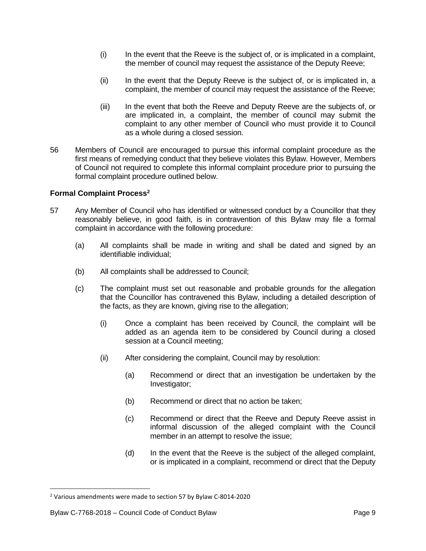- (i) In the event that the Reeve is the subject of, or is implicated in a complaint, the member of council may request the assistance of the Deputy Reeve;
- (ii) In the event that the Deputy Reeve is the subject of, or is implicated in, a complaint, the member of council may request the assistance of the Reeve;
- (iii) In the event that both the Reeve and Deputy Reeve are the subjects of, or are implicated in, a complaint, the member of council may submit the complaint to any other member of Council who must provide it to Council as a whole during a closed session.
- 56 Members of Council are encouraged to pursue this informal complaint procedure as the first means of remedying conduct that they believe violates this Bylaw. However, Members of Council not required to complete this informal complaint procedure prior to pursuing the formal complaint procedure outlined below.

# **Formal Complaint Process<sup>2</sup>**

- 57 Any Member of Council who has identified or witnessed conduct by a Councillor that they reasonably believe, in good faith, is in contravention of this Bylaw may file a formal complaint in accordance with the following procedure:
	- (a) All complaints shall be made in writing and shall be dated and signed by an identifiable individual;
	- (b) All complaints shall be addressed to Council;
	- (c) The complaint must set out reasonable and probable grounds for the allegation that the Councillor has contravened this Bylaw, including a detailed description of the facts, as they are known, giving rise to the allegation;
		- (i) Once a complaint has been received by Council, the complaint will be added as an agenda item to be considered by Council during a closed session at a Council meeting;
		- (ii) After considering the complaint, Council may by resolution:
			- (a) Recommend or direct that an investigation be undertaken by the Investigator;
			- (b) Recommend or direct that no action be taken;
			- (c) Recommend or direct that the Reeve and Deputy Reeve assist in informal discussion of the alleged complaint with the Council member in an attempt to resolve the issue;
			- (d) In the event that the Reeve is the subject of the alleged complaint, or is implicated in a complaint, recommend or direct that the Deputy

 $\overline{\phantom{a}}$ 

<sup>2</sup> Various amendments were made to section 57 by Bylaw C-8014-2020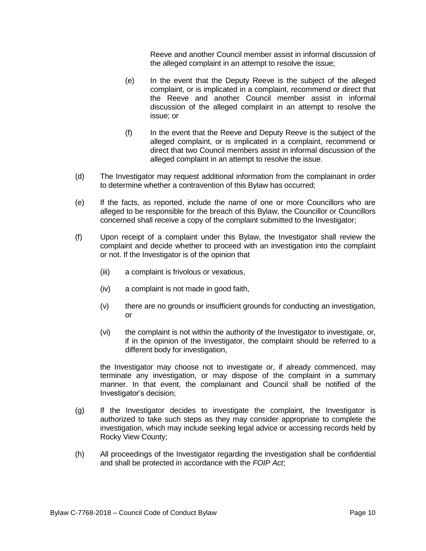Reeve and another Council member assist in informal discussion of the alleged complaint in an attempt to resolve the issue;

- (e) In the event that the Deputy Reeve is the subject of the alleged complaint, or is implicated in a complaint, recommend or direct that the Reeve and another Council member assist in informal discussion of the alleged complaint in an attempt to resolve the issue; or
- (f) In the event that the Reeve and Deputy Reeve is the subject of the alleged complaint, or is implicated in a complaint, recommend or direct that two Council members assist in informal discussion of the alleged complaint in an attempt to resolve the issue.
- (d) The Investigator may request additional information from the complainant in order to determine whether a contravention of this Bylaw has occurred;
- (e) If the facts, as reported, include the name of one or more Councillors who are alleged to be responsible for the breach of this Bylaw, the Councillor or Councillors concerned shall receive a copy of the complaint submitted to the Investigator;
- (f) Upon receipt of a complaint under this Bylaw, the Investigator shall review the complaint and decide whether to proceed with an investigation into the complaint or not. If the Investigator is of the opinion that
	- (iii) a complaint is frivolous or vexatious,
	- (iv) a complaint is not made in good faith,
	- (v) there are no grounds or insufficient grounds for conducting an investigation, or
	- (vi) the complaint is not within the authority of the Investigator to investigate, or, if in the opinion of the Investigator, the complaint should be referred to a different body for investigation,

the Investigator may choose not to investigate or, if already commenced, may terminate any investigation, or may dispose of the complaint in a summary manner. In that event, the complainant and Council shall be notified of the Investigator's decision;

- (g) If the Investigator decides to investigate the complaint, the Investigator is authorized to take such steps as they may consider appropriate to complete the investigation, which may include seeking legal advice or accessing records held by Rocky View County;
- (h) All proceedings of the Investigator regarding the investigation shall be confidential and shall be protected in accordance with the *FOIP Act*;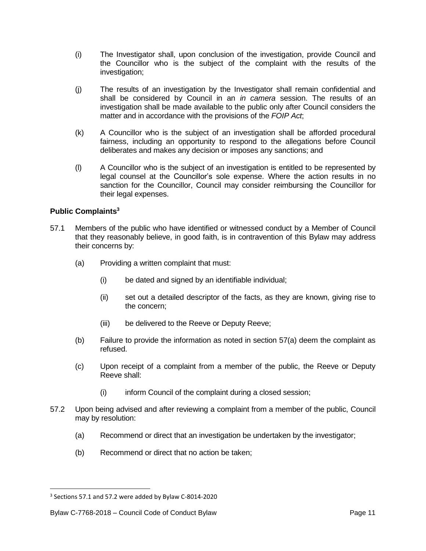- (i) The Investigator shall, upon conclusion of the investigation, provide Council and the Councillor who is the subject of the complaint with the results of the investigation;
- (j) The results of an investigation by the Investigator shall remain confidential and shall be considered by Council in an *in camera* session. The results of an investigation shall be made available to the public only after Council considers the matter and in accordance with the provisions of the *FOIP Act*;
- (k) A Councillor who is the subject of an investigation shall be afforded procedural fairness, including an opportunity to respond to the allegations before Council deliberates and makes any decision or imposes any sanctions; and
- (l) A Councillor who is the subject of an investigation is entitled to be represented by legal counsel at the Councillor's sole expense. Where the action results in no sanction for the Councillor, Council may consider reimbursing the Councillor for their legal expenses.

# **Public Complaints<sup>3</sup>**

- 57.1 Members of the public who have identified or witnessed conduct by a Member of Council that they reasonably believe, in good faith, is in contravention of this Bylaw may address their concerns by:
	- (a) Providing a written complaint that must:
		- (i) be dated and signed by an identifiable individual;
		- (ii) set out a detailed descriptor of the facts, as they are known, giving rise to the concern;
		- (iii) be delivered to the Reeve or Deputy Reeve;
	- (b) Failure to provide the information as noted in section 57(a) deem the complaint as refused.
	- (c) Upon receipt of a complaint from a member of the public, the Reeve or Deputy Reeve shall:
		- (i) inform Council of the complaint during a closed session;
- 57.2 Upon being advised and after reviewing a complaint from a member of the public, Council may by resolution:
	- (a) Recommend or direct that an investigation be undertaken by the investigator;
	- (b) Recommend or direct that no action be taken;

 $\overline{\phantom{a}}$ 

<sup>&</sup>lt;sup>3</sup> Sections 57.1 and 57.2 were added by Bylaw C-8014-2020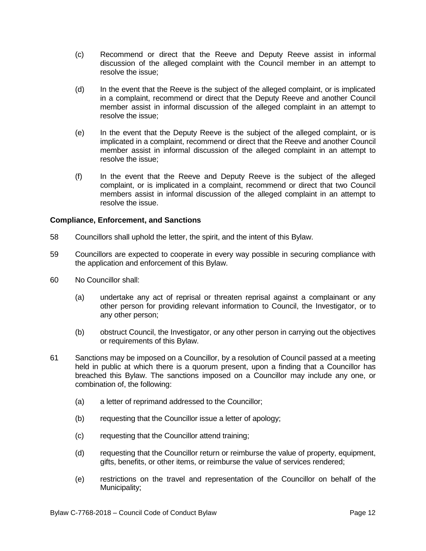- (c) Recommend or direct that the Reeve and Deputy Reeve assist in informal discussion of the alleged complaint with the Council member in an attempt to resolve the issue;
- (d) In the event that the Reeve is the subject of the alleged complaint, or is implicated in a complaint, recommend or direct that the Deputy Reeve and another Council member assist in informal discussion of the alleged complaint in an attempt to resolve the issue;
- (e) In the event that the Deputy Reeve is the subject of the alleged complaint, or is implicated in a complaint, recommend or direct that the Reeve and another Council member assist in informal discussion of the alleged complaint in an attempt to resolve the issue;
- (f) In the event that the Reeve and Deputy Reeve is the subject of the alleged complaint, or is implicated in a complaint, recommend or direct that two Council members assist in informal discussion of the alleged complaint in an attempt to resolve the issue.

# **Compliance, Enforcement, and Sanctions**

- 58 Councillors shall uphold the letter, the spirit, and the intent of this Bylaw.
- 59 Councillors are expected to cooperate in every way possible in securing compliance with the application and enforcement of this Bylaw.
- 60 No Councillor shall:
	- (a) undertake any act of reprisal or threaten reprisal against a complainant or any other person for providing relevant information to Council, the Investigator, or to any other person;
	- (b) obstruct Council, the Investigator, or any other person in carrying out the objectives or requirements of this Bylaw.
- 61 Sanctions may be imposed on a Councillor, by a resolution of Council passed at a meeting held in public at which there is a quorum present, upon a finding that a Councillor has breached this Bylaw. The sanctions imposed on a Councillor may include any one, or combination of, the following:
	- (a) a letter of reprimand addressed to the Councillor;
	- (b) requesting that the Councillor issue a letter of apology;
	- (c) requesting that the Councillor attend training;
	- (d) requesting that the Councillor return or reimburse the value of property, equipment, gifts, benefits, or other items, or reimburse the value of services rendered;
	- (e) restrictions on the travel and representation of the Councillor on behalf of the Municipality;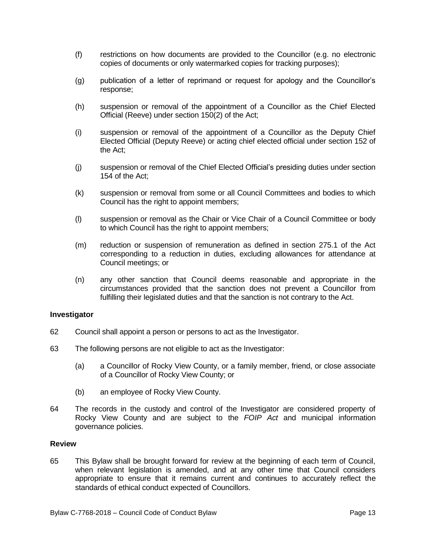- (f) restrictions on how documents are provided to the Councillor (e.g. no electronic copies of documents or only watermarked copies for tracking purposes);
- (g) publication of a letter of reprimand or request for apology and the Councillor's response;
- (h) suspension or removal of the appointment of a Councillor as the Chief Elected Official (Reeve) under section 150(2) of the Act;
- (i) suspension or removal of the appointment of a Councillor as the Deputy Chief Elected Official (Deputy Reeve) or acting chief elected official under section 152 of the Act;
- (j) suspension or removal of the Chief Elected Official's presiding duties under section 154 of the Act;
- (k) suspension or removal from some or all Council Committees and bodies to which Council has the right to appoint members;
- (l) suspension or removal as the Chair or Vice Chair of a Council Committee or body to which Council has the right to appoint members;
- (m) reduction or suspension of remuneration as defined in section 275.1 of the Act corresponding to a reduction in duties, excluding allowances for attendance at Council meetings; or
- (n) any other sanction that Council deems reasonable and appropriate in the circumstances provided that the sanction does not prevent a Councillor from fulfilling their legislated duties and that the sanction is not contrary to the Act.

#### **Investigator**

- 62 Council shall appoint a person or persons to act as the Investigator.
- 63 The following persons are not eligible to act as the Investigator:
	- (a) a Councillor of Rocky View County, or a family member, friend, or close associate of a Councillor of Rocky View County; or
	- (b) an employee of Rocky View County.
- 64 The records in the custody and control of the Investigator are considered property of Rocky View County and are subject to the *FOIP Act* and municipal information governance policies.

#### **Review**

65 This Bylaw shall be brought forward for review at the beginning of each term of Council, when relevant legislation is amended, and at any other time that Council considers appropriate to ensure that it remains current and continues to accurately reflect the standards of ethical conduct expected of Councillors.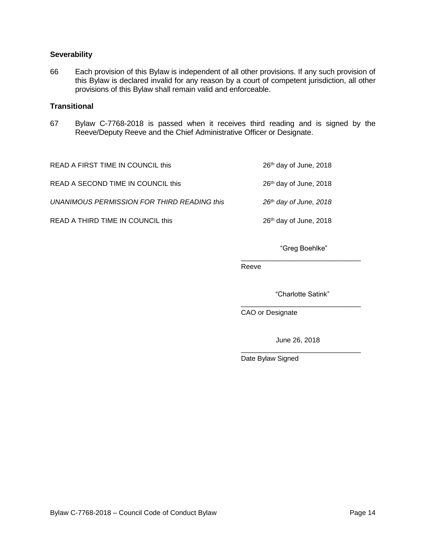# **Severability**

66 Each provision of this Bylaw is independent of all other provisions. If any such provision of this Bylaw is declared invalid for any reason by a court of competent jurisdiction, all other provisions of this Bylaw shall remain valid and enforceable.

# **Transitional**

67 Bylaw C-7768-2018 is passed when it receives third reading and is signed by the Reeve/Deputy Reeve and the Chief Administrative Officer or Designate.

READ A FIRST TIME IN COUNCIL this 2018 2018 2018

READ A SECOND TIME IN COUNCIL this 26<sup>th</sup> day of June, 2018

*UNANIMOUS PERMISSION FOR THIRD READING this 26th day of June, 2018*

READ A THIRD TIME IN COUNCIL this 26<sup>th</sup> day of June, 2018

"Greg Boehlke"

\_\_\_\_\_\_\_\_\_\_\_\_\_\_\_\_\_\_\_\_\_\_\_\_\_\_\_\_\_\_\_

Reeve

"Charlotte Satink" \_\_\_\_\_\_\_\_\_\_\_\_\_\_\_\_\_\_\_\_\_\_\_\_\_\_\_\_\_\_\_

CAO or Designate

 June 26, 2018 \_\_\_\_\_\_\_\_\_\_\_\_\_\_\_\_\_\_\_\_\_\_\_\_\_\_\_\_\_\_\_

Date Bylaw Signed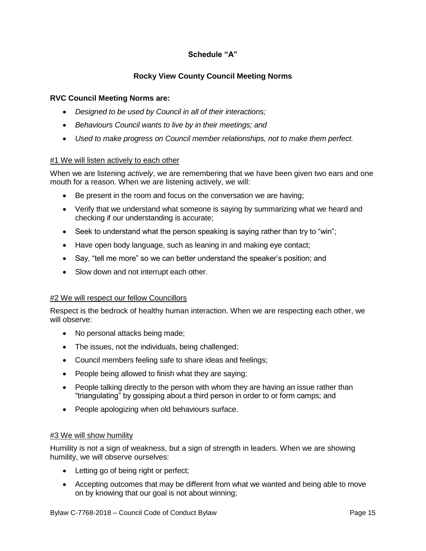# **Schedule "A"**

# **Rocky View County Council Meeting Norms**

# **RVC Council Meeting Norms are:**

- *Designed to be used by Council in all of their interactions;*
- *Behaviours Council wants to live by in their meetings; and*
- *Used to make progress on Council member relationships, not to make them perfect.*

# #1 We will listen actively to each other

When we are listening *actively*, we are remembering that we have been given two ears and one mouth for a reason. When we are listening actively, we will:

- Be present in the room and focus on the conversation we are having;
- Verify that we understand what someone is saying by summarizing what we heard and checking if our understanding is accurate;
- Seek to understand what the person speaking is saying rather than try to "win";
- Have open body language, such as leaning in and making eye contact;
- Say, "tell me more" so we can better understand the speaker's position; and
- Slow down and not interrupt each other.

# #2 We will respect our fellow Councillors

Respect is the bedrock of healthy human interaction. When we are respecting each other, we will observe:

- No personal attacks being made;
- The issues, not the individuals, being challenged;
- Council members feeling safe to share ideas and feelings;
- People being allowed to finish what they are saying;
- People talking directly to the person with whom they are having an issue rather than "triangulating" by gossiping about a third person in order to or form camps; and
- People apologizing when old behaviours surface.

# **#3 We will show humility**

Humility is not a sign of weakness, but a sign of strength in leaders. When we are showing humility, we will observe ourselves:

- Letting go of being right or perfect;
- Accepting outcomes that may be different from what we wanted and being able to move on by knowing that our goal is not about winning;